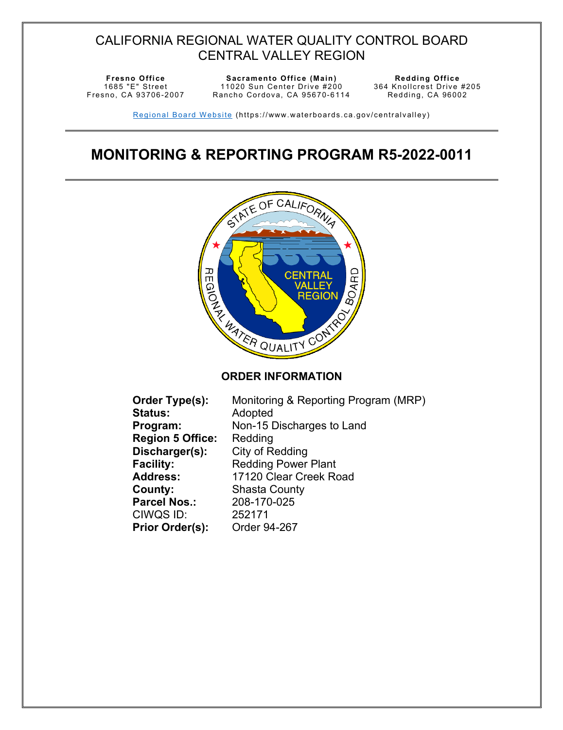## CALIFORNIA REGIONAL WATER QUALITY CONTROL BOARD CENTRAL VALLEY REGION

1685 "E" Street Fresno, CA 93706-2007

**Fresno Office CE Sacramento Office** (Main) 11020 Sun Center Drive #200 Rancho Cordova, CA 95670-6114 Redding Office<br>364 Knollcrest Drive #205 Redding, CA 96002

Regional Board Website (https://www.waterboards.ca.gov/centralvalley)

# **MONITORING & REPORTING PROGRAM R5-2022-0011**



| Monitoring & Reporting Program (MRP) |
|--------------------------------------|
| Adopted                              |
| Non-15 Discharges to Land            |
| Redding                              |
| City of Redding                      |
| <b>Redding Power Plant</b>           |
| 17120 Clear Creek Road               |
| <b>Shasta County</b>                 |
| 208-170-025                          |
| 252171                               |
| Order 94-267                         |
|                                      |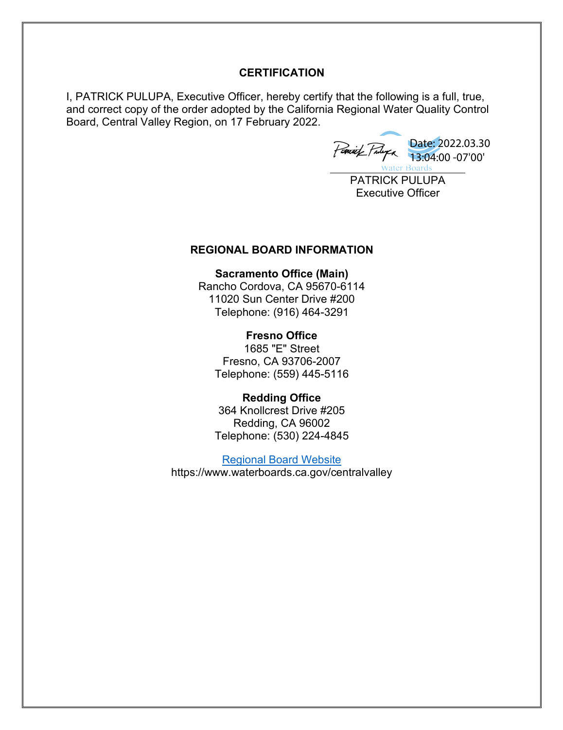#### **CERTIFICATION**

I, PATRICK PULUPA, Executive Officer, hereby certify that the following is a full, true, and correct copy of the order adopted by the California Regional Water Quality Control Board, Central Valley Region, on 17 February 2022.

Date: 2022.03.30 13:04:00 -07'00'**Water Boards** 

PATRICK PULUPA Executive Officer

#### **REGIONAL BOARD INFORMATION**

**Sacramento Office (Main)**  Rancho Cordova, CA 95670-6114 11020 Sun Center Drive #200 Telephone: (916) 464-3291

**Fresno Office** 1685 "E" Street Fresno, CA 93706-2007 Telephone: (559) 445-5116

**Redding Office** 364 Knollcrest Drive #205 Redding, CA 96002 Telephone: (530) 224-4845

[Regional Board Website](https://www.waterboards.ca.gov/centralvalley/) https://www.waterboards.ca.gov/centralvalley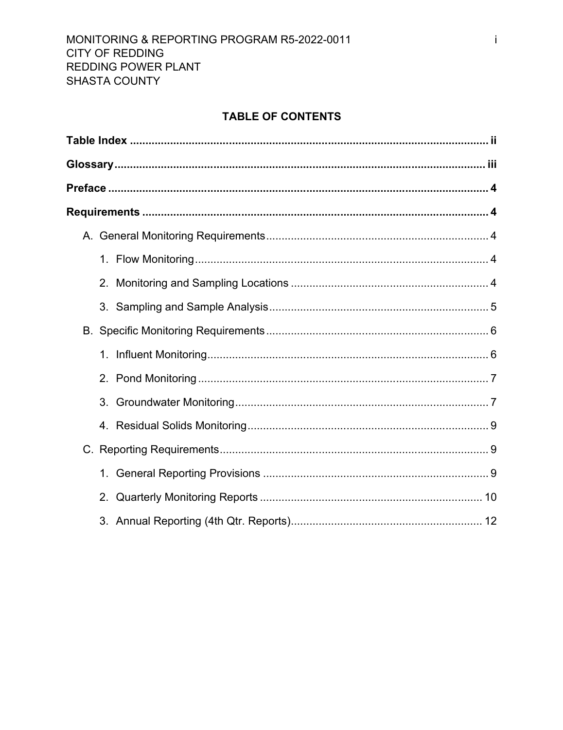## **TABLE OF CONTENTS**

| $3_{-}$        |
|----------------|
|                |
|                |
|                |
| 2 <sub>1</sub> |
|                |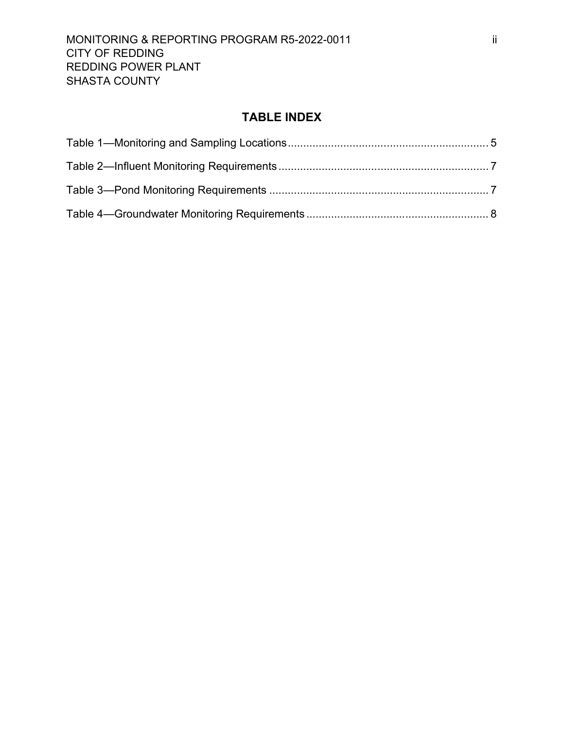## **TABLE INDEX**

<span id="page-3-0"></span>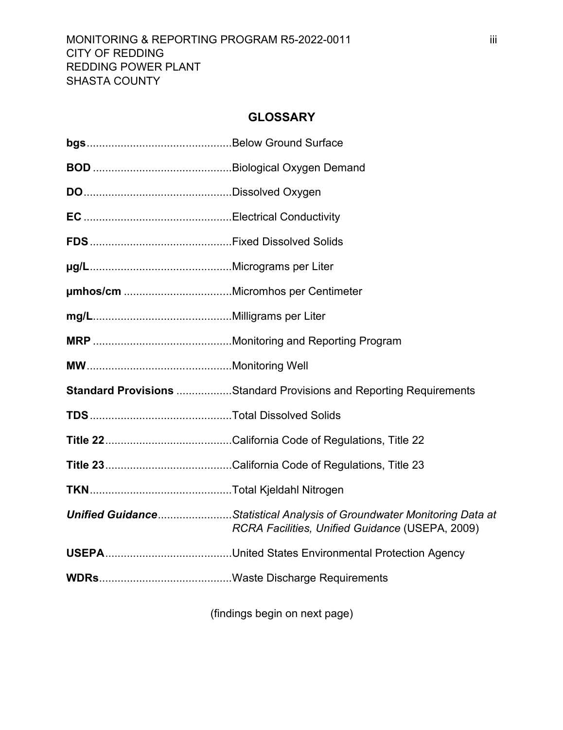## **GLOSSARY**

<span id="page-4-0"></span>

| <b>Standard Provisions Standard Provisions and Reporting Requirements</b>                                                        |
|----------------------------------------------------------------------------------------------------------------------------------|
|                                                                                                                                  |
|                                                                                                                                  |
|                                                                                                                                  |
|                                                                                                                                  |
| <b>Unified GuidanceStatistical Analysis of Groundwater Monitoring Data at</b><br>RCRA Facilities, Unified Guidance (USEPA, 2009) |
|                                                                                                                                  |
|                                                                                                                                  |

(findings begin on next page)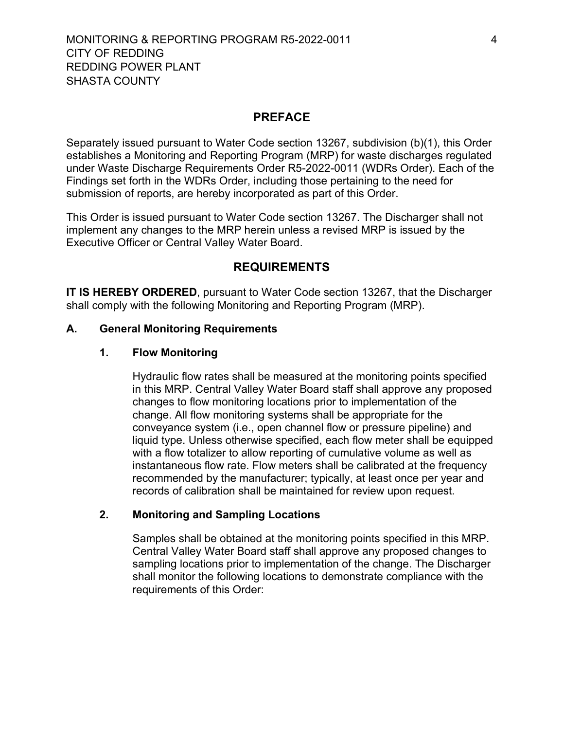### **PREFACE**

<span id="page-5-0"></span>Separately issued pursuant to Water Code section 13267, subdivision (b)(1), this Order establishes a Monitoring and Reporting Program (MRP) for waste discharges regulated under Waste Discharge Requirements Order R5-2022-0011 (WDRs Order). Each of the Findings set forth in the WDRs Order, including those pertaining to the need for submission of reports, are hereby incorporated as part of this Order.

This Order is issued pursuant to Water Code section 13267. The Discharger shall not implement any changes to the MRP herein unless a revised MRP is issued by the Executive Officer or Central Valley Water Board.

#### **REQUIREMENTS**

<span id="page-5-1"></span>**IT IS HEREBY ORDERED**, pursuant to Water Code section 13267, that the Discharger shall comply with the following Monitoring and Reporting Program (MRP).

#### <span id="page-5-3"></span><span id="page-5-2"></span>**A. General Monitoring Requirements**

#### **1. Flow Monitoring**

Hydraulic flow rates shall be measured at the monitoring points specified in this MRP. Central Valley Water Board staff shall approve any proposed changes to flow monitoring locations prior to implementation of the change. All flow monitoring systems shall be appropriate for the conveyance system (i.e., open channel flow or pressure pipeline) and liquid type. Unless otherwise specified, each flow meter shall be equipped with a flow totalizer to allow reporting of cumulative volume as well as instantaneous flow rate. Flow meters shall be calibrated at the frequency recommended by the manufacturer; typically, at least once per year and records of calibration shall be maintained for review upon request.

#### <span id="page-5-4"></span>**2. Monitoring and Sampling Locations**

Samples shall be obtained at the monitoring points specified in this MRP. Central Valley Water Board staff shall approve any proposed changes to sampling locations prior to implementation of the change. The Discharger shall monitor the following locations to demonstrate compliance with the requirements of this Order: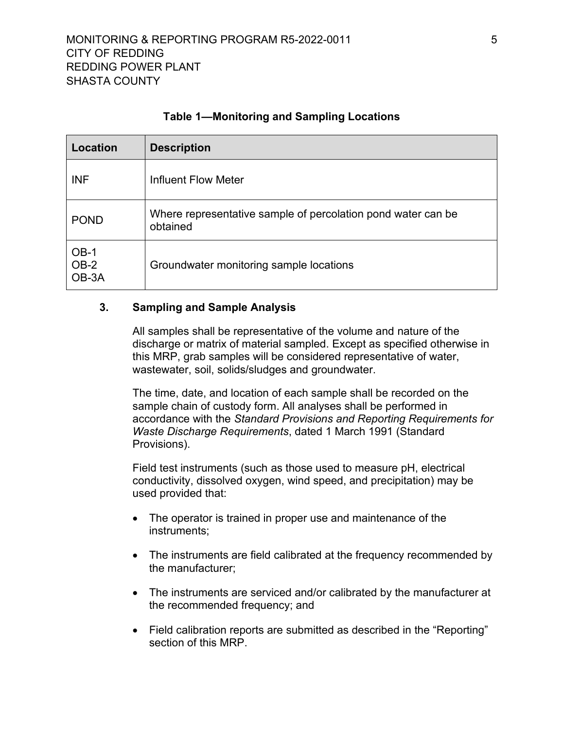<span id="page-6-1"></span>

| Location                  | <b>Description</b>                                                        |
|---------------------------|---------------------------------------------------------------------------|
| <b>INF</b>                | Influent Flow Meter                                                       |
| <b>POND</b>               | Where representative sample of percolation pond water can be.<br>obtained |
| $OB-1$<br>$OB-2$<br>OB-3A | Groundwater monitoring sample locations                                   |

### **Table 1—Monitoring and Sampling Locations**

#### <span id="page-6-0"></span>**3. Sampling and Sample Analysis**

All samples shall be representative of the volume and nature of the discharge or matrix of material sampled. Except as specified otherwise in this MRP, grab samples will be considered representative of water, wastewater, soil, solids/sludges and groundwater.

The time, date, and location of each sample shall be recorded on the sample chain of custody form. All analyses shall be performed in accordance with the *Standard Provisions and Reporting Requirements for Waste Discharge Requirements*, dated 1 March 1991 (Standard Provisions).

Field test instruments (such as those used to measure pH, electrical conductivity, dissolved oxygen, wind speed, and precipitation) may be used provided that:

- The operator is trained in proper use and maintenance of the instruments;
- The instruments are field calibrated at the frequency recommended by the manufacturer;
- · The instruments are serviced and/or calibrated by the manufacturer at the recommended frequency; and
- · Field calibration reports are submitted as described in the "Reporting" section of this MRP.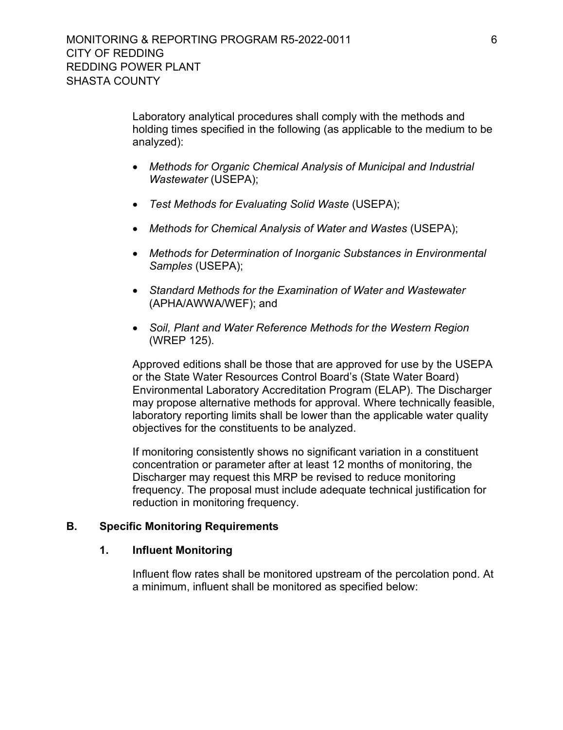Laboratory analytical procedures shall comply with the methods and holding times specified in the following (as applicable to the medium to be analyzed):

- · *Methods for Organic Chemical Analysis of Municipal and Industrial Wastewater* (USEPA);
- · *Test Methods for Evaluating Solid Waste* (USEPA);
- · *Methods for Chemical Analysis of Water and Wastes* (USEPA);
- · *Methods for Determination of Inorganic Substances in Environmental Samples* (USEPA);
- · *Standard Methods for the Examination of Water and Wastewater*  (APHA/AWWA/WEF); and
- · *Soil, Plant and Water Reference Methods for the Western Region*  (WREP 125).

Approved editions shall be those that are approved for use by the USEPA or the State Water Resources Control Board's (State Water Board) Environmental Laboratory Accreditation Program (ELAP). The Discharger may propose alternative methods for approval. Where technically feasible, laboratory reporting limits shall be lower than the applicable water quality objectives for the constituents to be analyzed.

If monitoring consistently shows no significant variation in a constituent concentration or parameter after at least 12 months of monitoring, the Discharger may request this MRP be revised to reduce monitoring frequency. The proposal must include adequate technical justification for reduction in monitoring frequency.

#### <span id="page-7-1"></span><span id="page-7-0"></span>**B. Specific Monitoring Requirements**

#### **1. Influent Monitoring**

Influent flow rates shall be monitored upstream of the percolation pond. At a minimum, influent shall be monitored as specified below: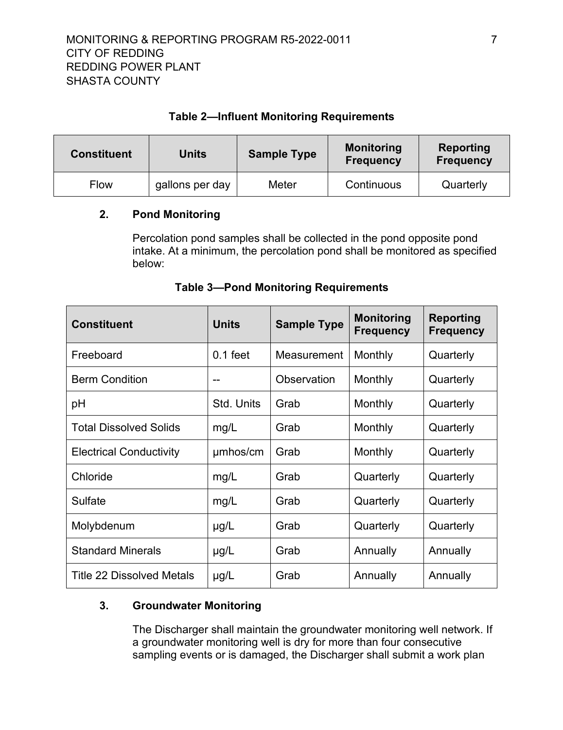## **Table 2—Influent Monitoring Requirements**

<span id="page-8-2"></span>

| <b>Constituent</b> | Units           | <b>Sample Type</b> | <b>Monitoring</b><br><b>Frequency</b> | Reporting<br><b>Frequency</b> |
|--------------------|-----------------|--------------------|---------------------------------------|-------------------------------|
| Flow               | gallons per day | Meter              | Continuous                            | Quarterly                     |

### <span id="page-8-0"></span>**2. Pond Monitoring**

Percolation pond samples shall be collected in the pond opposite pond intake. At a minimum, the percolation pond shall be monitored as specified below:

<span id="page-8-3"></span>

| <b>Constituent</b>               | <b>Units</b> | <b>Sample Type</b> | <b>Monitoring</b><br><b>Frequency</b> | <b>Reporting</b><br><b>Frequency</b> |
|----------------------------------|--------------|--------------------|---------------------------------------|--------------------------------------|
| Freeboard                        | $0.1$ feet   | Measurement        | Monthly                               | Quarterly                            |
| <b>Berm Condition</b>            |              | Observation        | Monthly                               | Quarterly                            |
| рH                               | Std. Units   | Grab               | Monthly                               | Quarterly                            |
| <b>Total Dissolved Solids</b>    | mg/L         | Grab               | Monthly                               | Quarterly                            |
| <b>Electrical Conductivity</b>   | umhos/cm     | Grab               | Monthly                               | Quarterly                            |
| Chloride                         | mg/L         | Grab               | Quarterly                             | Quarterly                            |
| Sulfate                          | mg/L         | Grab               | Quarterly                             | Quarterly                            |
| Molybdenum                       | $\mu$ g/L    | Grab               | Quarterly                             | Quarterly                            |
| <b>Standard Minerals</b>         | $\mu$ g/L    | Grab               | Annually                              | Annually                             |
| <b>Title 22 Dissolved Metals</b> | $\mu$ g/L    | Grab               | Annually                              | Annually                             |

### **Table 3—Pond Monitoring Requirements**

## <span id="page-8-1"></span>**3. Groundwater Monitoring**

The Discharger shall maintain the groundwater monitoring well network. If a groundwater monitoring well is dry for more than four consecutive sampling events or is damaged, the Discharger shall submit a work plan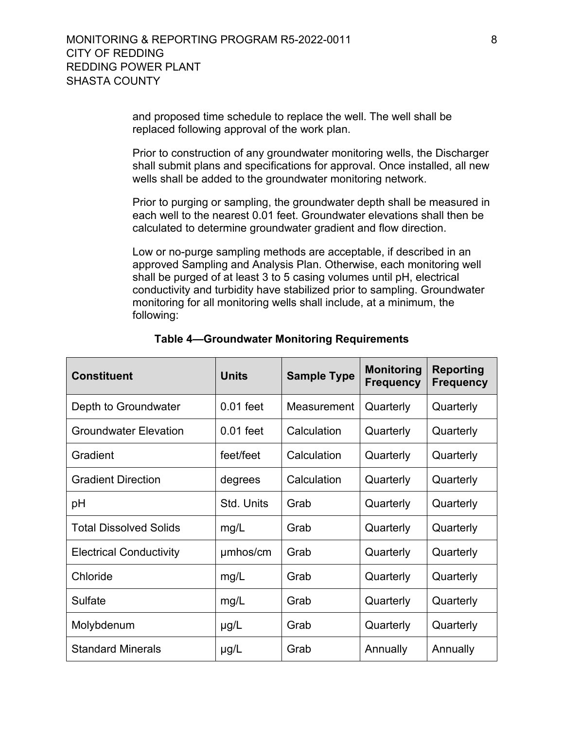and proposed time schedule to replace the well. The well shall be replaced following approval of the work plan.

Prior to construction of any groundwater monitoring wells, the Discharger shall submit plans and specifications for approval. Once installed, all new wells shall be added to the groundwater monitoring network.

Prior to purging or sampling, the groundwater depth shall be measured in each well to the nearest 0.01 feet. Groundwater elevations shall then be calculated to determine groundwater gradient and flow direction.

Low or no-purge sampling methods are acceptable, if described in an approved Sampling and Analysis Plan. Otherwise, each monitoring well shall be purged of at least 3 to 5 casing volumes until pH, electrical conductivity and turbidity have stabilized prior to sampling. Groundwater monitoring for all monitoring wells shall include, at a minimum, the following:

<span id="page-9-0"></span>

| <b>Constituent</b>             | <b>Units</b> | <b>Sample Type</b> | <b>Monitoring</b><br><b>Frequency</b> | <b>Reporting</b><br><b>Frequency</b> |
|--------------------------------|--------------|--------------------|---------------------------------------|--------------------------------------|
| Depth to Groundwater           | $0.01$ feet  | Measurement        | Quarterly                             | Quarterly                            |
| <b>Groundwater Elevation</b>   | $0.01$ feet  | Calculation        | Quarterly                             | Quarterly                            |
| Gradient                       | feet/feet    | Calculation        | Quarterly                             | Quarterly                            |
| <b>Gradient Direction</b>      | degrees      | Calculation        | Quarterly                             | Quarterly                            |
| рH                             | Std. Units   | Grab               | Quarterly                             | Quarterly                            |
| <b>Total Dissolved Solids</b>  | mg/L         | Grab               | Quarterly                             | Quarterly                            |
| <b>Electrical Conductivity</b> | umhos/cm     | Grab               | Quarterly                             | Quarterly                            |
| Chloride                       | mg/L         | Grab               | Quarterly                             | Quarterly                            |
| Sulfate                        | mg/L         | Grab               | Quarterly                             | Quarterly                            |
| Molybdenum                     | $\mu$ g/L    | Grab               | Quarterly                             | Quarterly                            |
| <b>Standard Minerals</b>       | $\mu$ g/L    | Grab               | Annually                              | Annually                             |

#### **Table 4—Groundwater Monitoring Requirements**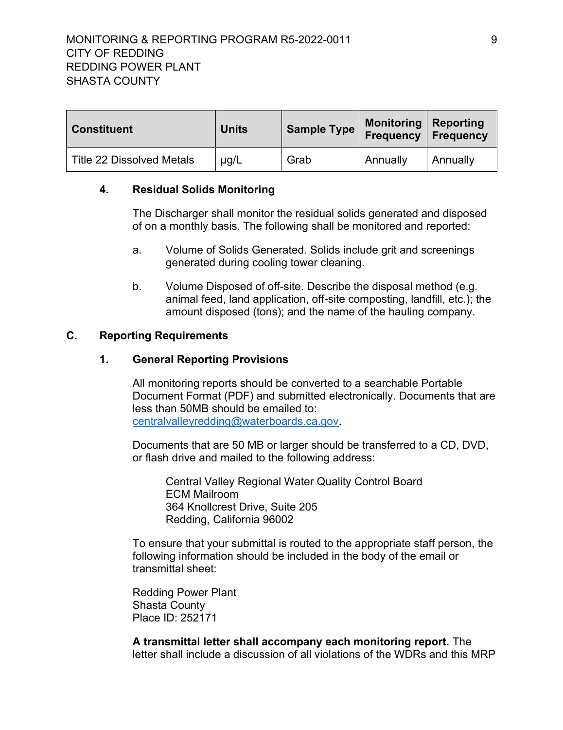### MONITORING & REPORTING PROGRAM R5-2022-0011 PHONORING & REPORTING PROGRAM R5-2022-0011 CITY OF REDDING REDDING POWER PLANT SHASTA COUNTY

| <b>Constituent</b>               | <b>Units</b> | <b>Sample Type</b> | Monitoring   Reporting<br><b>Frequency Frequency</b> |          |
|----------------------------------|--------------|--------------------|------------------------------------------------------|----------|
| <b>Title 22 Dissolved Metals</b> | $\mu$ g/L    | Grab               | Annually                                             | Annually |

#### <span id="page-10-0"></span>**4. Residual Solids Monitoring**

The Discharger shall monitor the residual solids generated and disposed of on a monthly basis. The following shall be monitored and reported:

- a. Volume of Solids Generated. Solids include grit and screenings generated during cooling tower cleaning.
- b. Volume Disposed of off-site. Describe the disposal method (e.g. animal feed, land application, off-site composting, landfill, etc.); the amount disposed (tons); and the name of the hauling company.

#### <span id="page-10-2"></span><span id="page-10-1"></span>**C. Reporting Requirements**

#### **1. General Reporting Provisions**

All monitoring reports should be converted to a searchable Portable Document Format (PDF) and submitted electronically. Documents that are less than 50MB should be emailed to: [centralvalleyredding@waterboards.ca.gov.](mailto:centralvalleyredding@waterboards.ca.gov)

Documents that are 50 MB or larger should be transferred to a CD, DVD, or flash drive and mailed to the following address:

Central Valley Regional Water Quality Control Board ECM Mailroom 364 Knollcrest Drive, Suite 205 Redding, California 96002

To ensure that your submittal is routed to the appropriate staff person, the following information should be included in the body of the email or transmittal sheet:

Redding Power Plant Shasta County Place ID: 252171

**A transmittal letter shall accompany each monitoring report.** The letter shall include a discussion of all violations of the WDRs and this MRP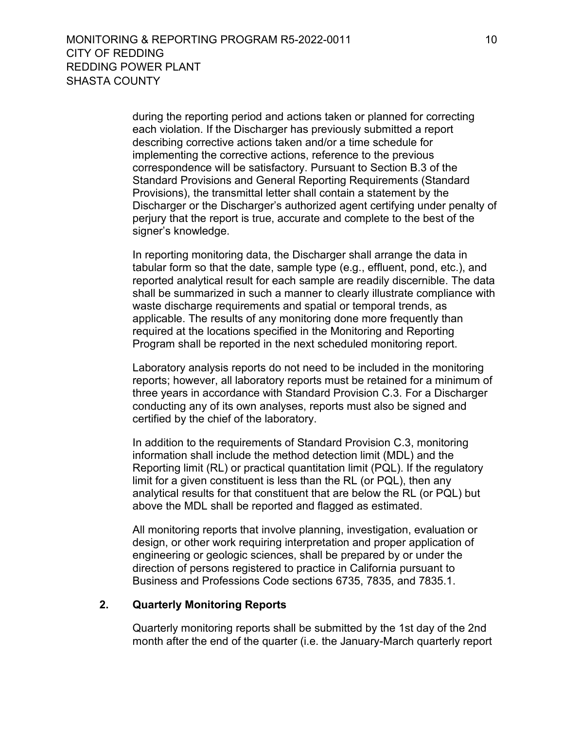during the reporting period and actions taken or planned for correcting each violation. If the Discharger has previously submitted a report describing corrective actions taken and/or a time schedule for implementing the corrective actions, reference to the previous correspondence will be satisfactory. Pursuant to Section B.3 of the Standard Provisions and General Reporting Requirements (Standard Provisions), the transmittal letter shall contain a statement by the Discharger or the Discharger's authorized agent certifying under penalty of perjury that the report is true, accurate and complete to the best of the signer's knowledge.

In reporting monitoring data, the Discharger shall arrange the data in tabular form so that the date, sample type (e.g., effluent, pond, etc.), and reported analytical result for each sample are readily discernible. The data shall be summarized in such a manner to clearly illustrate compliance with waste discharge requirements and spatial or temporal trends, as applicable. The results of any monitoring done more frequently than required at the locations specified in the Monitoring and Reporting Program shall be reported in the next scheduled monitoring report.

Laboratory analysis reports do not need to be included in the monitoring reports; however, all laboratory reports must be retained for a minimum of three years in accordance with Standard Provision C.3. For a Discharger conducting any of its own analyses, reports must also be signed and certified by the chief of the laboratory.

In addition to the requirements of Standard Provision C.3, monitoring information shall include the method detection limit (MDL) and the Reporting limit (RL) or practical quantitation limit (PQL). If the regulatory limit for a given constituent is less than the RL (or PQL), then any analytical results for that constituent that are below the RL (or PQL) but above the MDL shall be reported and flagged as estimated.

All monitoring reports that involve planning, investigation, evaluation or design, or other work requiring interpretation and proper application of engineering or geologic sciences, shall be prepared by or under the direction of persons registered to practice in California pursuant to Business and Professions Code sections 6735, 7835, and 7835.1.

#### <span id="page-11-0"></span>**2. Quarterly Monitoring Reports**

Quarterly monitoring reports shall be submitted by the 1st day of the 2nd month after the end of the quarter (i.e. the January-March quarterly report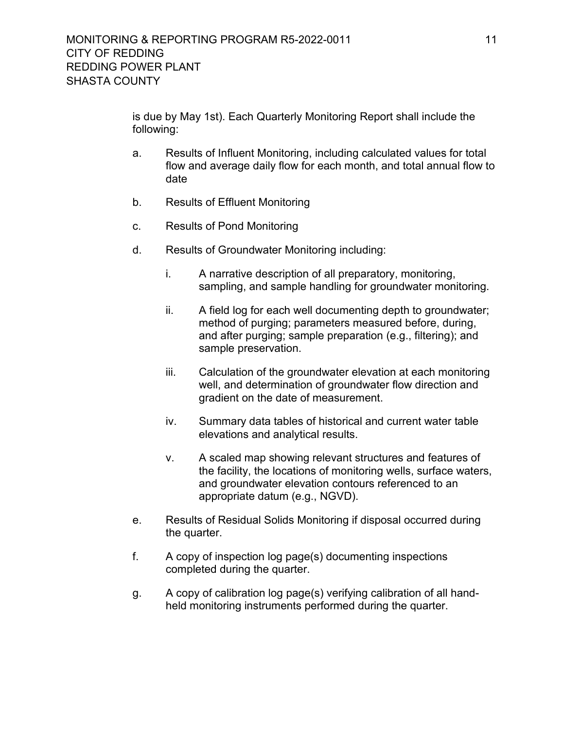is due by May 1st). Each Quarterly Monitoring Report shall include the following:

- a. Results of Influent Monitoring, including calculated values for total flow and average daily flow for each month, and total annual flow to date
- b. Results of Effluent Monitoring
- c. Results of Pond Monitoring
- d. Results of Groundwater Monitoring including:
	- i. A narrative description of all preparatory, monitoring, sampling, and sample handling for groundwater monitoring.
	- ii. A field log for each well documenting depth to groundwater; method of purging; parameters measured before, during, and after purging; sample preparation (e.g., filtering); and sample preservation.
	- iii. Calculation of the groundwater elevation at each monitoring well, and determination of groundwater flow direction and gradient on the date of measurement.
	- iv. Summary data tables of historical and current water table elevations and analytical results.
	- v. A scaled map showing relevant structures and features of the facility, the locations of monitoring wells, surface waters, and groundwater elevation contours referenced to an appropriate datum (e.g., NGVD).
- e. Results of Residual Solids Monitoring if disposal occurred during the quarter.
- f. A copy of inspection log page(s) documenting inspections completed during the quarter.
- g. A copy of calibration log page(s) verifying calibration of all handheld monitoring instruments performed during the quarter.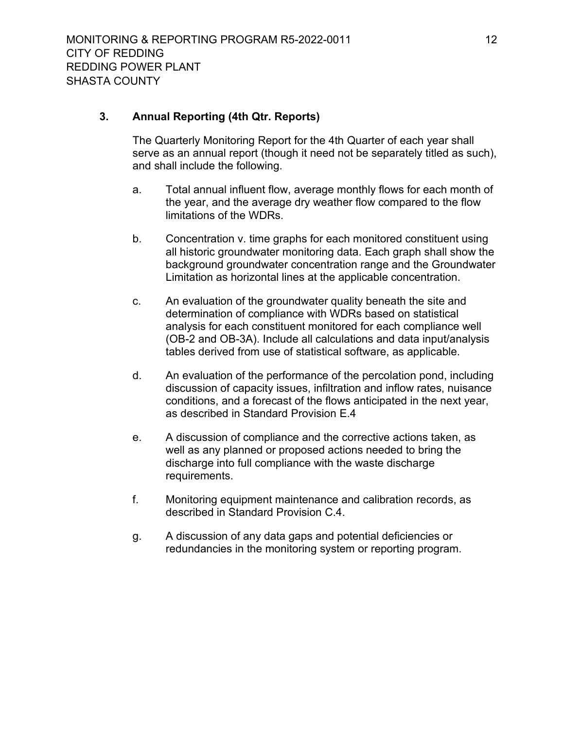### <span id="page-13-0"></span>**3. Annual Reporting (4th Qtr. Reports)**

The Quarterly Monitoring Report for the 4th Quarter of each year shall serve as an annual report (though it need not be separately titled as such), and shall include the following.

- a. Total annual influent flow, average monthly flows for each month of the year, and the average dry weather flow compared to the flow limitations of the WDRs.
- b. Concentration v. time graphs for each monitored constituent using all historic groundwater monitoring data. Each graph shall show the background groundwater concentration range and the Groundwater Limitation as horizontal lines at the applicable concentration.
- c. An evaluation of the groundwater quality beneath the site and determination of compliance with WDRs based on statistical analysis for each constituent monitored for each compliance well (OB-2 and OB-3A). Include all calculations and data input/analysis tables derived from use of statistical software, as applicable.
- d. An evaluation of the performance of the percolation pond, including discussion of capacity issues, infiltration and inflow rates, nuisance conditions, and a forecast of the flows anticipated in the next year, as described in Standard Provision E.4
- e. A discussion of compliance and the corrective actions taken, as well as any planned or proposed actions needed to bring the discharge into full compliance with the waste discharge requirements.
- f. Monitoring equipment maintenance and calibration records, as described in Standard Provision C.4.
- g. A discussion of any data gaps and potential deficiencies or redundancies in the monitoring system or reporting program.